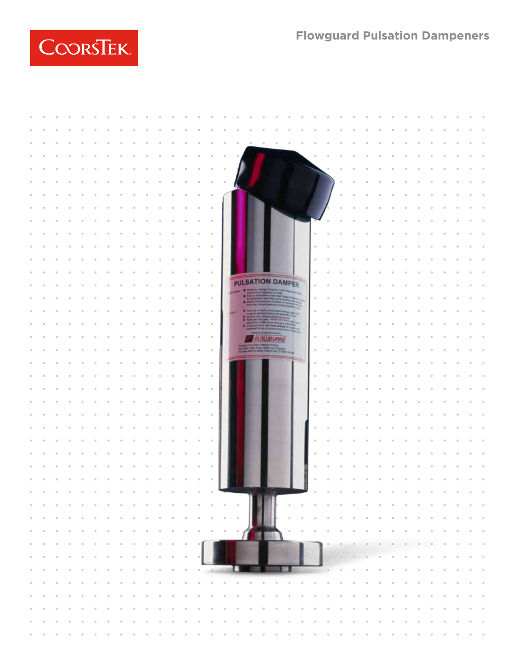